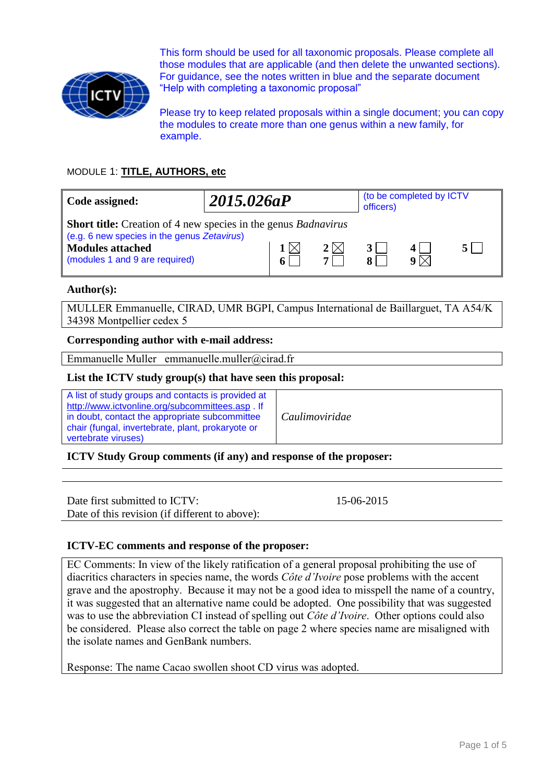

This form should be used for all taxonomic proposals. Please complete all those modules that are applicable (and then delete the unwanted sections). For guidance, see the notes written in blue and the separate document "Help with completing a taxonomic proposal"

Please try to keep related proposals within a single document; you can copy the modules to create more than one genus within a new family, for example.

# MODULE 1: **TITLE, AUTHORS, etc**

| Code assigned:                                                                                                                                                                           | 2015.026aP |   |                 | (to be completed by ICTV<br>officers) |                     |  |
|------------------------------------------------------------------------------------------------------------------------------------------------------------------------------------------|------------|---|-----------------|---------------------------------------|---------------------|--|
| <b>Short title:</b> Creation of 4 new species in the genus <i>Badnavirus</i><br>(e.g. 6 new species in the genus Zetavirus)<br><b>Modules attached</b><br>(modules 1 and 9 are required) |            | 6 | 2 $\times$<br>7 |                                       | $\mathbf{Q} \times$ |  |

## **Author(s):**

MULLER Emmanuelle, CIRAD, UMR BGPI, Campus International de Baillarguet, TA A54/K 34398 Montpellier cedex 5

# **Corresponding author with e-mail address:**

Emmanuelle Muller emmanuelle.muller@cirad.fr

## **List the ICTV study group(s) that have seen this proposal:**

A list of study groups and contacts is provided at <http://www.ictvonline.org/subcommittees.asp> . If in doubt, contact the appropriate subcommittee chair (fungal, invertebrate, plant, prokaryote or vertebrate viruses)

*Caulimoviridae*

**ICTV Study Group comments (if any) and response of the proposer:**

Date first submitted to ICTV: 15-06-2015 Date of this revision (if different to above):

# **ICTV-EC comments and response of the proposer:**

EC Comments: In view of the likely ratification of a general proposal prohibiting the use of diacritics characters in species name, the words *Côte d'Ivoire* pose problems with the accent grave and the apostrophy. Because it may not be a good idea to misspell the name of a country, it was suggested that an alternative name could be adopted. One possibility that was suggested was to use the abbreviation CI instead of spelling out *Côte d'Ivoire*. Other options could also be considered. Please also correct the table on page 2 where species name are misaligned with the isolate names and GenBank numbers.

Response: The name Cacao swollen shoot CD virus was adopted.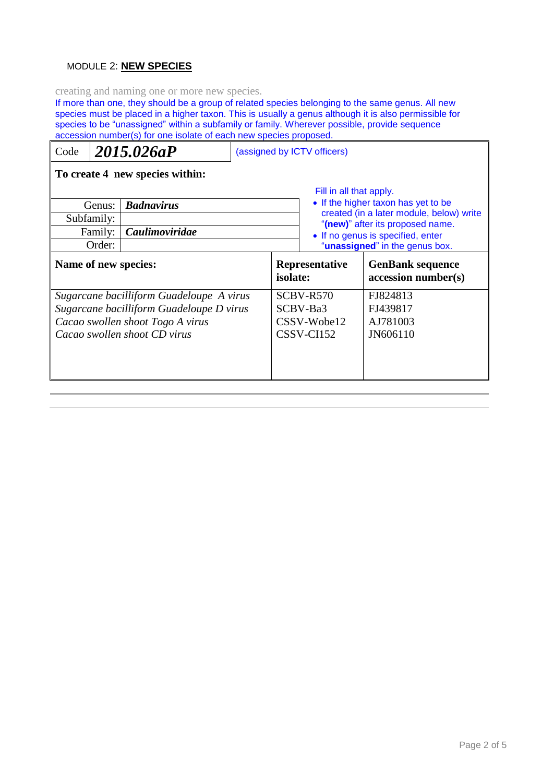# MODULE 2: **NEW SPECIES**

creating and naming one or more new species.

If more than one, they should be a group of related species belonging to the same genus. All new species must be placed in a higher taxon. This is usually a genus although it is also permissible for species to be "unassigned" within a subfamily or family. Wherever possible, provide sequence accession number(s) for one isolate of each new species proposed.

| Code                                                                                                                                                     |                   | 2015.026aP            | (assigned by ICTV officers)                          |                                   |                                                                                                                                                |                                                                     |  |  |  |
|----------------------------------------------------------------------------------------------------------------------------------------------------------|-------------------|-----------------------|------------------------------------------------------|-----------------------------------|------------------------------------------------------------------------------------------------------------------------------------------------|---------------------------------------------------------------------|--|--|--|
| To create 4 new species within:                                                                                                                          |                   |                       |                                                      |                                   |                                                                                                                                                |                                                                     |  |  |  |
| <b>Badnavirus</b><br>Genus:<br>Subfamily:                                                                                                                |                   |                       |                                                      |                                   | Fill in all that apply.<br>• If the higher taxon has yet to be<br>created (in a later module, below) write<br>"(new)" after its proposed name. |                                                                     |  |  |  |
|                                                                                                                                                          | Family:<br>Order: | <b>Caulimoviridae</b> |                                                      |                                   |                                                                                                                                                | • If no genus is specified, enter<br>"unassigned" in the genus box. |  |  |  |
| Name of new species:                                                                                                                                     |                   |                       |                                                      | <b>Representative</b><br>isolate: |                                                                                                                                                | <b>GenBank sequence</b><br>accession number(s)                      |  |  |  |
| Sugarcane bacilliform Guadeloupe A virus<br>Sugarcane bacilliform Guadeloupe D virus<br>Cacao swollen shoot Togo A virus<br>Cacao swollen shoot CD virus |                   |                       | SCBV-R570<br>SCBV-Ba3<br>CSSV-Wobe12<br>$CSSV-CI152$ |                                   | FJ824813<br>FJ439817<br>AJ781003<br>JN606110                                                                                                   |                                                                     |  |  |  |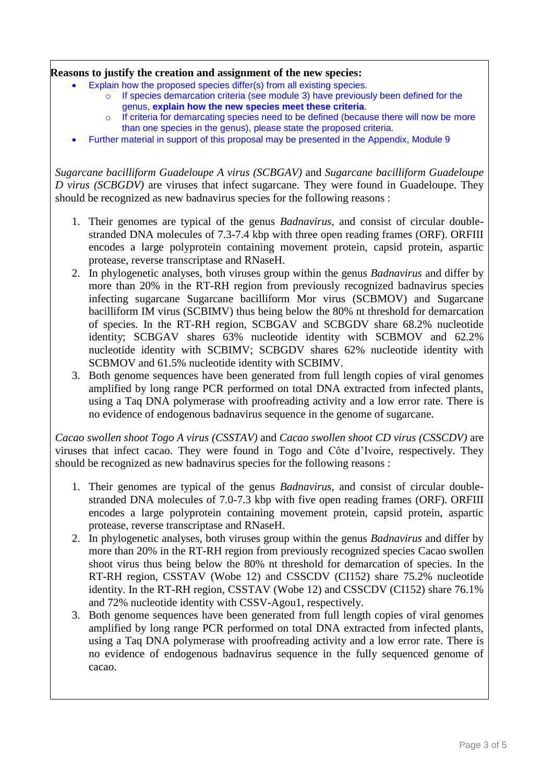# **Reasons to justify the creation and assignment of the new species:**

- Explain how the proposed species differ(s) from all existing species.
	- If species demarcation criteria (see module 3) have previously been defined for the genus, **explain how the new species meet these criteria**.
	- o If criteria for demarcating species need to be defined (because there will now be more than one species in the genus), please state the proposed criteria.
- Further material in support of this proposal may be presented in the Appendix, Module 9

*Sugarcane bacilliform Guadeloupe A virus (SCBGAV)* and *Sugarcane bacilliform Guadeloupe D virus (SCBGDV)* are viruses that infect sugarcane. They were found in Guadeloupe. They should be recognized as new badnavirus species for the following reasons :

- 1. Their genomes are typical of the genus *Badnavirus*, and consist of circular doublestranded DNA molecules of 7.3-7.4 kbp with three open reading frames (ORF). ORFIII encodes a large polyprotein containing movement protein, capsid protein, aspartic protease, reverse transcriptase and RNaseH.
- 2. In phylogenetic analyses, both viruses group within the genus *Badnavirus* and differ by more than 20% in the RT-RH region from previously recognized badnavirus species infecting sugarcane Sugarcane bacilliform Mor virus (SCBMOV) and Sugarcane bacilliform IM virus (SCBIMV) thus being below the 80% nt threshold for demarcation of species. In the RT-RH region, SCBGAV and SCBGDV share 68.2% nucleotide identity; SCBGAV shares 63% nucleotide identity with SCBMOV and 62.2% nucleotide identity with SCBIMV; SCBGDV shares 62% nucleotide identity with SCBMOV and 61.5% nucleotide identity with SCBIMV.
- 3. Both genome sequences have been generated from full length copies of viral genomes amplified by long range PCR performed on total DNA extracted from infected plants, using a Taq DNA polymerase with proofreading activity and a low error rate. There is no evidence of endogenous badnavirus sequence in the genome of sugarcane.

*Cacao swollen shoot Togo A virus (CSSTAV)* and *Cacao swollen shoot CD virus (CSSCDV)* are viruses that infect cacao. They were found in Togo and Côte d'Ivoire, respectively. They should be recognized as new badnavirus species for the following reasons :

- 1. Their genomes are typical of the genus *Badnavirus*, and consist of circular doublestranded DNA molecules of 7.0-7.3 kbp with five open reading frames (ORF). ORFIII encodes a large polyprotein containing movement protein, capsid protein, aspartic protease, reverse transcriptase and RNaseH.
- 2. In phylogenetic analyses, both viruses group within the genus *Badnavirus* and differ by more than 20% in the RT-RH region from previously recognized species Cacao swollen shoot virus thus being below the 80% nt threshold for demarcation of species. In the RT-RH region, CSSTAV (Wobe 12) and CSSCDV (CI152) share 75.2% nucleotide identity. In the RT-RH region, CSSTAV (Wobe 12) and CSSCDV (CI152) share 76.1% and 72% nucleotide identity with CSSV-Agou1, respectively.
- 3. Both genome sequences have been generated from full length copies of viral genomes amplified by long range PCR performed on total DNA extracted from infected plants, using a Taq DNA polymerase with proofreading activity and a low error rate. There is no evidence of endogenous badnavirus sequence in the fully sequenced genome of cacao.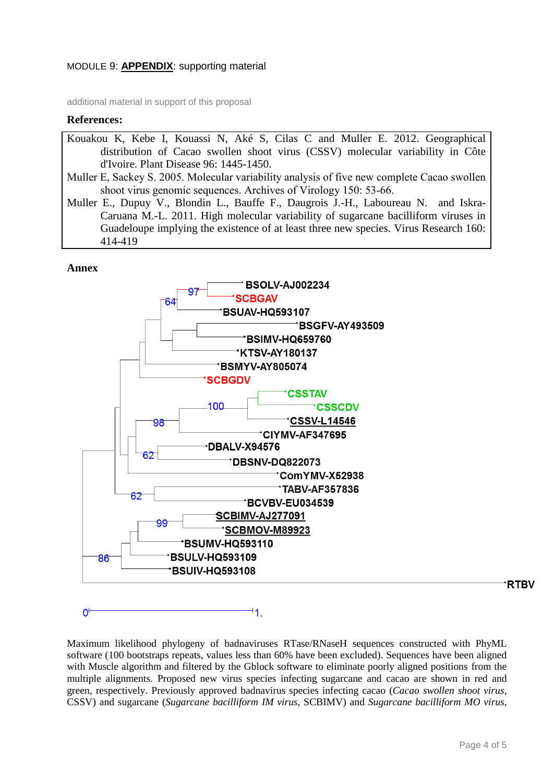## MODULE 9: **APPENDIX**: supporting material

additional material in support of this proposal

#### **References:**

- Kouakou K, Kebe I, Kouassi N, Aké S, Cilas C and Muller E. 2012. Geographical distribution of Cacao swollen shoot virus (CSSV) molecular variability in Côte d'Ivoire. Plant Disease 96: 1445-1450.
- Muller E, Sackey S. 2005. Molecular variability analysis of five new complete Cacao swollen shoot virus genomic sequences. Archives of Virology 150: 53-66.
- Muller E., Dupuy V., Blondin L., Bauffe F., Daugrois J.-H., Laboureau N. and Iskra-Caruana M.-L. 2011. High molecular variability of sugarcane bacilliform viruses in Guadeloupe implying the existence of at least three new species. Virus Research 160: 414-419

#### **Annex**

 $0^{\scriptscriptstyle \dagger}$ 



11.

Maximum likelihood phylogeny of badnaviruses RTase/RNaseH sequences constructed with PhyML software (100 bootstraps repeats, values less than 60% have been excluded). Sequences have been aligned with Muscle algorithm and filtered by the Gblock software to eliminate poorly aligned positions from the multiple alignments. Proposed new virus species infecting sugarcane and cacao are shown in red and green, respectively. Previously approved badnavirus species infecting cacao (*Cacao swollen shoot virus*, CSSV) and sugarcane (*Sugarcane bacilliform IM virus*, SCBIMV) and *Sugarcane bacilliform MO virus*,

**RTBV**